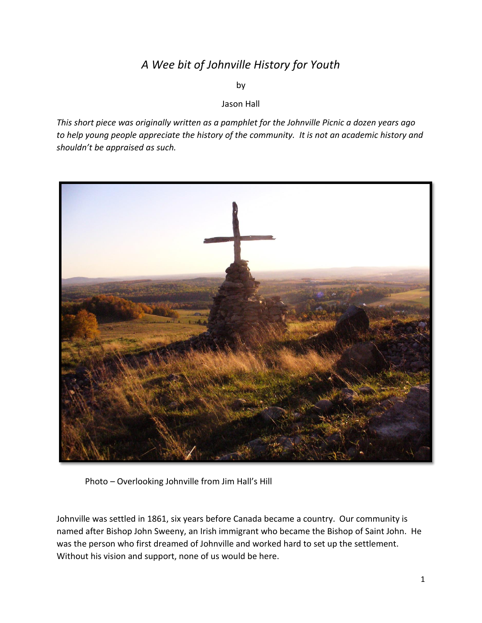## *A Wee bit of Johnville History for Youth*

by

## Jason Hall

*This short piece was originally written as a pamphlet for the Johnville Picnic a dozen years ago to help young people appreciate the history of the community. It is not an academic history and shouldn't be appraised as such.* 



Photo – Overlooking Johnville from Jim Hall's Hill

Johnville was settled in 1861, six years before Canada became a country. Our community is named after Bishop John Sweeny, an Irish immigrant who became the Bishop of Saint John. He was the person who first dreamed of Johnville and worked hard to set up the settlement. Without his vision and support, none of us would be here.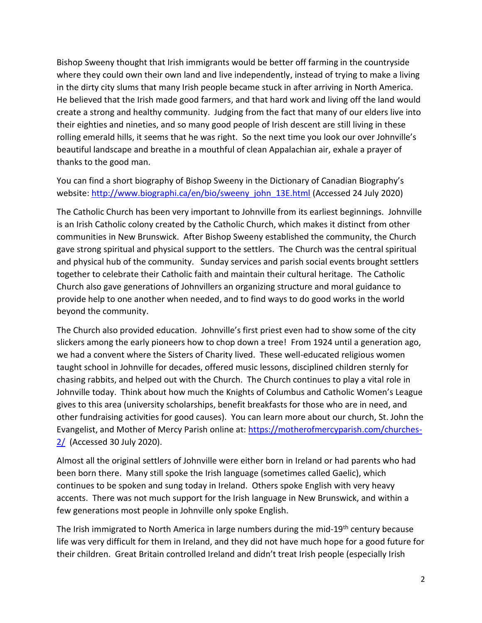Bishop Sweeny thought that Irish immigrants would be better off farming in the countryside where they could own their own land and live independently, instead of trying to make a living in the dirty city slums that many Irish people became stuck in after arriving in North America. He believed that the Irish made good farmers, and that hard work and living off the land would create a strong and healthy community. Judging from the fact that many of our elders live into their eighties and nineties, and so many good people of Irish descent are still living in these rolling emerald hills, it seems that he was right. So the next time you look our over Johnville's beautiful landscape and breathe in a mouthful of clean Appalachian air, exhale a prayer of thanks to the good man.

You can find a short biography of Bishop Sweeny in the Dictionary of Canadian Biography's website: [http://www.biographi.ca/en/bio/sweeny\\_john\\_13E.html](http://www.biographi.ca/en/bio/sweeny_john_13E.html) (Accessed 24 July 2020)

The Catholic Church has been very important to Johnville from its earliest beginnings. Johnville is an Irish Catholic colony created by the Catholic Church, which makes it distinct from other communities in New Brunswick. After Bishop Sweeny established the community, the Church gave strong spiritual and physical support to the settlers. The Church was the central spiritual and physical hub of the community. Sunday services and parish social events brought settlers together to celebrate their Catholic faith and maintain their cultural heritage. The Catholic Church also gave generations of Johnvillers an organizing structure and moral guidance to provide help to one another when needed, and to find ways to do good works in the world beyond the community.

The Church also provided education. Johnville's first priest even had to show some of the city slickers among the early pioneers how to chop down a tree! From 1924 until a generation ago, we had a convent where the Sisters of Charity lived. These well-educated religious women taught school in Johnville for decades, offered music lessons, disciplined children sternly for chasing rabbits, and helped out with the Church. The Church continues to play a vital role in Johnville today. Think about how much the Knights of Columbus and Catholic Women's League gives to this area (university scholarships, benefit breakfasts for those who are in need, and other fundraising activities for good causes). You can learn more about our church, St. John the Evangelist, and Mother of Mercy Parish online at: [https://motherofmercyparish.com/churches-](https://motherofmercyparish.com/churches-2/)[2/](https://motherofmercyparish.com/churches-2/) (Accessed 30 July 2020).

Almost all the original settlers of Johnville were either born in Ireland or had parents who had been born there. Many still spoke the Irish language (sometimes called Gaelic), which continues to be spoken and sung today in Ireland. Others spoke English with very heavy accents. There was not much support for the Irish language in New Brunswick, and within a few generations most people in Johnville only spoke English.

The Irish immigrated to North America in large numbers during the mid-19<sup>th</sup> century because life was very difficult for them in Ireland, and they did not have much hope for a good future for their children. Great Britain controlled Ireland and didn't treat Irish people (especially Irish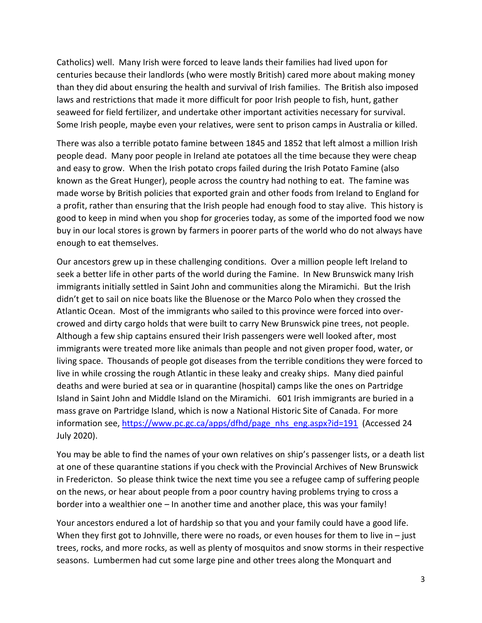Catholics) well. Many Irish were forced to leave lands their families had lived upon for centuries because their landlords (who were mostly British) cared more about making money than they did about ensuring the health and survival of Irish families. The British also imposed laws and restrictions that made it more difficult for poor Irish people to fish, hunt, gather seaweed for field fertilizer, and undertake other important activities necessary for survival. Some Irish people, maybe even your relatives, were sent to prison camps in Australia or killed.

There was also a terrible potato famine between 1845 and 1852 that left almost a million Irish people dead. Many poor people in Ireland ate potatoes all the time because they were cheap and easy to grow. When the Irish potato crops failed during the Irish Potato Famine (also known as the Great Hunger), people across the country had nothing to eat. The famine was made worse by British policies that exported grain and other foods from Ireland to England for a profit, rather than ensuring that the Irish people had enough food to stay alive. This history is good to keep in mind when you shop for groceries today, as some of the imported food we now buy in our local stores is grown by farmers in poorer parts of the world who do not always have enough to eat themselves.

Our ancestors grew up in these challenging conditions. Over a million people left Ireland to seek a better life in other parts of the world during the Famine. In New Brunswick many Irish immigrants initially settled in Saint John and communities along the Miramichi. But the Irish didn't get to sail on nice boats like the Bluenose or the Marco Polo when they crossed the Atlantic Ocean. Most of the immigrants who sailed to this province were forced into overcrowed and dirty cargo holds that were built to carry New Brunswick pine trees, not people. Although a few ship captains ensured their Irish passengers were well looked after, most immigrants were treated more like animals than people and not given proper food, water, or living space. Thousands of people got diseases from the terrible conditions they were forced to live in while crossing the rough Atlantic in these leaky and creaky ships. Many died painful deaths and were buried at sea or in quarantine (hospital) camps like the ones on Partridge Island in Saint John and Middle Island on the Miramichi. 601 Irish immigrants are buried in a mass grave on Partridge Island, which is now a National Historic Site of Canada. For more information see, [https://www.pc.gc.ca/apps/dfhd/page\\_nhs\\_eng.aspx?id=191](https://www.pc.gc.ca/apps/dfhd/page_nhs_eng.aspx?id=191) (Accessed 24 July 2020).

You may be able to find the names of your own relatives on ship's passenger lists, or a death list at one of these quarantine stations if you check with the Provincial Archives of New Brunswick in Fredericton. So please think twice the next time you see a refugee camp of suffering people on the news, or hear about people from a poor country having problems trying to cross a border into a wealthier one – In another time and another place, this was your family!

Your ancestors endured a lot of hardship so that you and your family could have a good life. When they first got to Johnville, there were no roads, or even houses for them to live in - just trees, rocks, and more rocks, as well as plenty of mosquitos and snow storms in their respective seasons. Lumbermen had cut some large pine and other trees along the Monquart and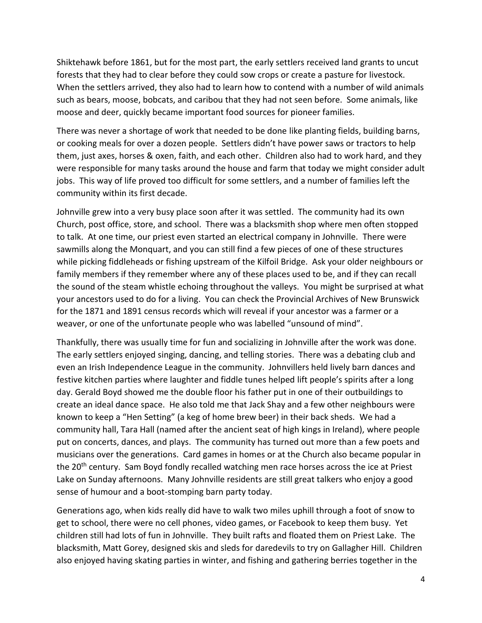Shiktehawk before 1861, but for the most part, the early settlers received land grants to uncut forests that they had to clear before they could sow crops or create a pasture for livestock. When the settlers arrived, they also had to learn how to contend with a number of wild animals such as bears, moose, bobcats, and caribou that they had not seen before. Some animals, like moose and deer, quickly became important food sources for pioneer families.

There was never a shortage of work that needed to be done like planting fields, building barns, or cooking meals for over a dozen people. Settlers didn't have power saws or tractors to help them, just axes, horses & oxen, faith, and each other. Children also had to work hard, and they were responsible for many tasks around the house and farm that today we might consider adult jobs. This way of life proved too difficult for some settlers, and a number of families left the community within its first decade.

Johnville grew into a very busy place soon after it was settled. The community had its own Church, post office, store, and school. There was a blacksmith shop where men often stopped to talk. At one time, our priest even started an electrical company in Johnville. There were sawmills along the Monquart, and you can still find a few pieces of one of these structures while picking fiddleheads or fishing upstream of the Kilfoil Bridge. Ask your older neighbours or family members if they remember where any of these places used to be, and if they can recall the sound of the steam whistle echoing throughout the valleys. You might be surprised at what your ancestors used to do for a living. You can check the Provincial Archives of New Brunswick for the 1871 and 1891 census records which will reveal if your ancestor was a farmer or a weaver, or one of the unfortunate people who was labelled "unsound of mind".

Thankfully, there was usually time for fun and socializing in Johnville after the work was done. The early settlers enjoyed singing, dancing, and telling stories. There was a debating club and even an Irish Independence League in the community. Johnvillers held lively barn dances and festive kitchen parties where laughter and fiddle tunes helped lift people's spirits after a long day. Gerald Boyd showed me the double floor his father put in one of their outbuildings to create an ideal dance space. He also told me that Jack Shay and a few other neighbours were known to keep a "Hen Setting" (a keg of home brew beer) in their back sheds. We had a community hall, Tara Hall (named after the ancient seat of high kings in Ireland), where people put on concerts, dances, and plays. The community has turned out more than a few poets and musicians over the generations. Card games in homes or at the Church also became popular in the 20<sup>th</sup> century. Sam Boyd fondly recalled watching men race horses across the ice at Priest Lake on Sunday afternoons. Many Johnville residents are still great talkers who enjoy a good sense of humour and a boot-stomping barn party today.

Generations ago, when kids really did have to walk two miles uphill through a foot of snow to get to school, there were no cell phones, video games, or Facebook to keep them busy. Yet children still had lots of fun in Johnville. They built rafts and floated them on Priest Lake. The blacksmith, Matt Gorey, designed skis and sleds for daredevils to try on Gallagher Hill. Children also enjoyed having skating parties in winter, and fishing and gathering berries together in the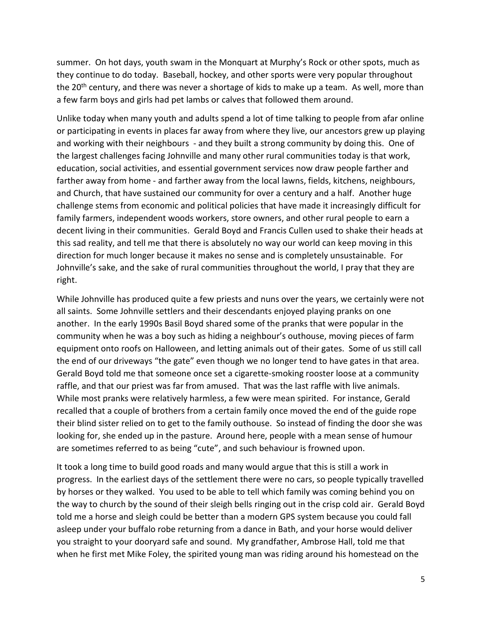summer. On hot days, youth swam in the Monquart at Murphy's Rock or other spots, much as they continue to do today. Baseball, hockey, and other sports were very popular throughout the 20<sup>th</sup> century, and there was never a shortage of kids to make up a team. As well, more than a few farm boys and girls had pet lambs or calves that followed them around.

Unlike today when many youth and adults spend a lot of time talking to people from afar online or participating in events in places far away from where they live, our ancestors grew up playing and working with their neighbours - and they built a strong community by doing this. One of the largest challenges facing Johnville and many other rural communities today is that work, education, social activities, and essential government services now draw people farther and farther away from home - and farther away from the local lawns, fields, kitchens, neighbours, and Church, that have sustained our community for over a century and a half. Another huge challenge stems from economic and political policies that have made it increasingly difficult for family farmers, independent woods workers, store owners, and other rural people to earn a decent living in their communities. Gerald Boyd and Francis Cullen used to shake their heads at this sad reality, and tell me that there is absolutely no way our world can keep moving in this direction for much longer because it makes no sense and is completely unsustainable.For Johnville's sake, and the sake of rural communities throughout the world, I pray that they are right.

While Johnville has produced quite a few priests and nuns over the years, we certainly were not all saints. Some Johnville settlers and their descendants enjoyed playing pranks on one another. In the early 1990s Basil Boyd shared some of the pranks that were popular in the community when he was a boy such as hiding a neighbour's outhouse, moving pieces of farm equipment onto roofs on Halloween, and letting animals out of their gates. Some of us still call the end of our driveways "the gate" even though we no longer tend to have gates in that area. Gerald Boyd told me that someone once set a cigarette-smoking rooster loose at a community raffle, and that our priest was far from amused. That was the last raffle with live animals. While most pranks were relatively harmless, a few were mean spirited. For instance, Gerald recalled that a couple of brothers from a certain family once moved the end of the guide rope their blind sister relied on to get to the family outhouse. So instead of finding the door she was looking for, she ended up in the pasture. Around here, people with a mean sense of humour are sometimes referred to as being "cute", and such behaviour is frowned upon.

It took a long time to build good roads and many would argue that this is still a work in progress. In the earliest days of the settlement there were no cars, so people typically travelled by horses or they walked. You used to be able to tell which family was coming behind you on the way to church by the sound of their sleigh bells ringing out in the crisp cold air. Gerald Boyd told me a horse and sleigh could be better than a modern GPS system because you could fall asleep under your buffalo robe returning from a dance in Bath, and your horse would deliver you straight to your dooryard safe and sound. My grandfather, Ambrose Hall, told me that when he first met Mike Foley, the spirited young man was riding around his homestead on the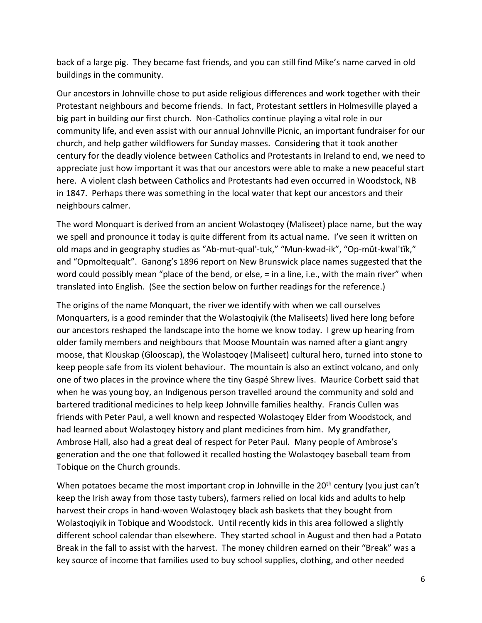back of a large pig. They became fast friends, and you can still find Mike's name carved in old buildings in the community.

Our ancestors in Johnville chose to put aside religious differences and work together with their Protestant neighbours and become friends. In fact, Protestant settlers in Holmesville played a big part in building our first church. Non-Catholics continue playing a vital role in our community life, and even assist with our annual Johnville Picnic, an important fundraiser for our church, and help gather wildflowers for Sunday masses. Considering that it took another century for the deadly violence between Catholics and Protestants in Ireland to end, we need to appreciate just how important it was that our ancestors were able to make a new peaceful start here. A violent clash between Catholics and Protestants had even occurred in Woodstock, NB in 1847. Perhaps there was something in the local water that kept our ancestors and their neighbours calmer.

The word Monquart is derived from an ancient Wolastoqey (Maliseet) place name, but the way we spell and pronounce it today is quite different from its actual name. I've seen it written on old maps and in geography studies as "Ab-mut-qual'-tuk," "Mun-kwad-ik", "Op-mŭt-kwal'tĭk," and "Opmoltequalt". Ganong's 1896 report on New Brunswick place names suggested that the word could possibly mean "place of the bend, or else,  $=$  in a line, i.e., with the main river" when translated into English. (See the section below on further readings for the reference.)

The origins of the name Monquart, the river we identify with when we call ourselves Monquarters, is a good reminder that the Wolastoqiyik (the Maliseets) lived here long before our ancestors reshaped the landscape into the home we know today. I grew up hearing from older family members and neighbours that Moose Mountain was named after a giant angry moose, that Klouskap (Glooscap), the Wolastoqey (Maliseet) cultural hero, turned into stone to keep people safe from its violent behaviour. The mountain is also an extinct volcano, and only one of two places in the province where the tiny Gaspé Shrew lives. Maurice Corbett said that when he was young boy, an Indigenous person travelled around the community and sold and bartered traditional medicines to help keep Johnville families healthy. Francis Cullen was friends with Peter Paul, a well known and respected Wolastoqey Elder from Woodstock, and had learned about Wolastoqey history and plant medicines from him. My grandfather, Ambrose Hall, also had a great deal of respect for Peter Paul. Many people of Ambrose's generation and the one that followed it recalled hosting the Wolastoqey baseball team from Tobique on the Church grounds.

When potatoes became the most important crop in Johnville in the 20<sup>th</sup> century (you just can't keep the Irish away from those tasty tubers), farmers relied on local kids and adults to help harvest their crops in hand-woven Wolastoqey black ash baskets that they bought from Wolastoqiyik in Tobique and Woodstock. Until recently kids in this area followed a slightly different school calendar than elsewhere. They started school in August and then had a Potato Break in the fall to assist with the harvest. The money children earned on their "Break" was a key source of income that families used to buy school supplies, clothing, and other needed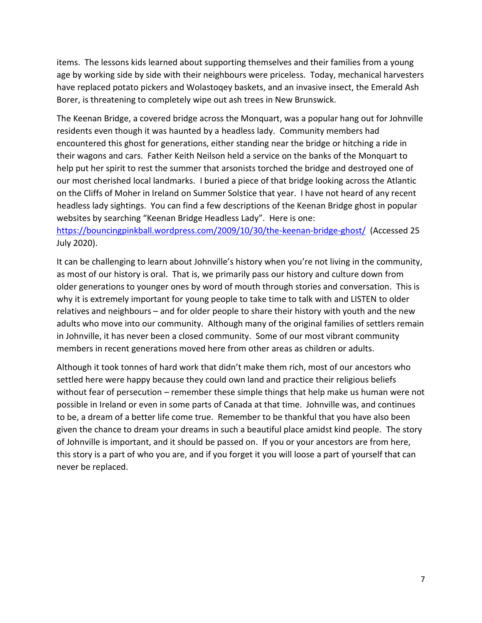items. The lessons kids learned about supporting themselves and their families from a young age by working side by side with their neighbours were priceless. Today, mechanical harvesters have replaced potato pickers and Wolastoqey baskets, and an invasive insect, the Emerald Ash Borer, is threatening to completely wipe out ash trees in New Brunswick.

The Keenan Bridge, a covered bridge across the Monquart, was a popular hang out for Johnville residents even though it was haunted by a headless lady. Community members had encountered this ghost for generations, either standing near the bridge or hitching a ride in their wagons and cars. Father Keith Neilson held a service on the banks of the Monquart to help put her spirit to rest the summer that arsonists torched the bridge and destroyed one of our most cherished local landmarks. I buried a piece of that bridge looking across the Atlantic on the Cliffs of Moher in Ireland on Summer Solstice that year. I have not heard of any recent headless lady sightings. You can find a few descriptions of the Keenan Bridge ghost in popular websites by searching "Keenan Bridge Headless Lady". Here is one:

<https://bouncingpinkball.wordpress.com/2009/10/30/the-keenan-bridge-ghost/>(Accessed 25 July 2020).

It can be challenging to learn about Johnville's history when you're not living in the community, as most of our history is oral. That is, we primarily pass our history and culture down from older generations to younger ones by word of mouth through stories and conversation. This is why it is extremely important for young people to take time to talk with and LISTEN to older relatives and neighbours – and for older people to share their history with youth and the new adults who move into our community. Although many of the original families of settlers remain in Johnville, it has never been a closed community. Some of our most vibrant community members in recent generations moved here from other areas as children or adults.

Although it took tonnes of hard work that didn't make them rich, most of our ancestors who settled here were happy because they could own land and practice their religious beliefs without fear of persecution – remember these simple things that help make us human were not possible in Ireland or even in some parts of Canada at that time. Johnville was, and continues to be, a dream of a better life come true. Remember to be thankful that you have also been given the chance to dream your dreams in such a beautiful place amidst kind people. The story of Johnville is important, and it should be passed on. If you or your ancestors are from here, this story is a part of who you are, and if you forget it you will loose a part of yourself that can never be replaced.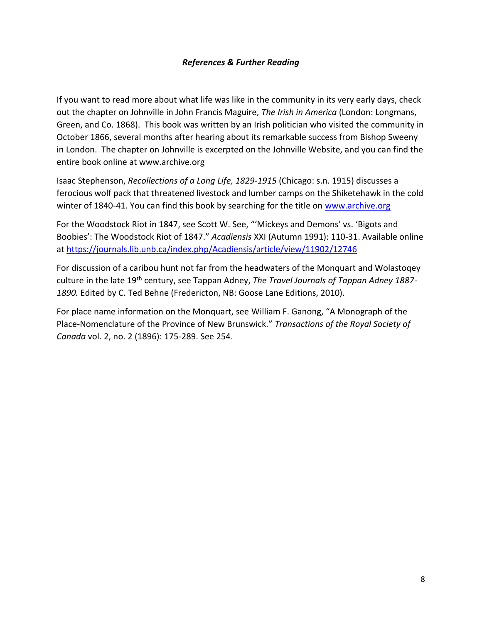## *References & Further Reading*

If you want to read more about what life was like in the community in its very early days, check out the chapter on Johnville in John Francis Maguire, *The Irish in America* (London: Longmans, Green, and Co. 1868). This book was written by an Irish politician who visited the community in October 1866, several months after hearing about its remarkable success from Bishop Sweeny in London. The chapter on Johnville is excerpted on the Johnville Website, and you can find the entire book online at www.archive.org

Isaac Stephenson, *Recollections of a Long Life, 1829-1915* (Chicago: s.n. 1915) discusses a ferocious wolf pack that threatened livestock and lumber camps on the Shiketehawk in the cold winter of 1840-41. You can find this book by searching for the title on [www.archive.org](http://www.archive.org/)

For the Woodstock Riot in 1847, see Scott W. See, "'Mickeys and Demons' vs. 'Bigots and Boobies': The Woodstock Riot of 1847." *Acadiensis* XXI (Autumn 1991): 110-31. Available online at<https://journals.lib.unb.ca/index.php/Acadiensis/article/view/11902/12746>

For discussion of a caribou hunt not far from the headwaters of the Monquart and Wolastoqey culture in the late 19th century, see Tappan Adney, *The Travel Journals of Tappan Adney 1887- 1890.* Edited by C. Ted Behne (Fredericton, NB: Goose Lane Editions, 2010).

For place name information on the Monquart, see William F. Ganong, "A Monograph of the Place-Nomenclature of the Province of New Brunswick." *Transactions of the Royal Society of Canada* vol. 2, no. 2 (1896): 175-289. See 254.